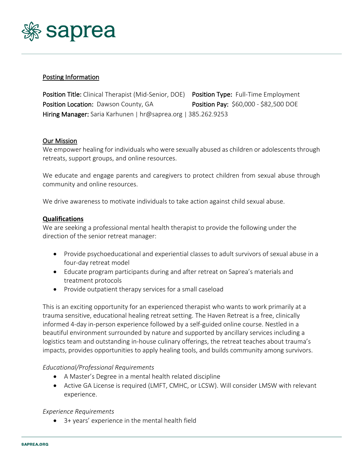

# Posting Information

Position Title: Clinical Therapist (Mid-Senior, DOE) Position Type: Full-Time Employment Position Location: Dawson County, GA Position Pay: \$60,000 - \$82,500 DOE Hiring Manager: Saria Karhunen | hr@saprea.org | 385.262.9253

## Our Mission

We empower healing for individuals who were sexually abused as children or adolescents through retreats, support groups, and online resources.

We educate and engage parents and caregivers to protect children from sexual abuse through community and online resources.

We drive awareness to motivate individuals to take action against child sexual abuse.

### **Qualifications**

We are seeking a professional mental health therapist to provide the following under the direction of the senior retreat manager:

- Provide psychoeducational and experiential classes to adult survivors of sexual abuse in a four-day retreat model
- Educate program participants during and after retreat on Saprea's materials and treatment protocols
- Provide outpatient therapy services for a small caseload

This is an exciting opportunity for an experienced therapist who wants to work primarily at a trauma sensitive, educational healing retreat setting. The Haven Retreat is a free, clinically informed 4-day in-person experience followed by a self-guided online course. Nestled in a beautiful environment surrounded by nature and supported by ancillary services including a logistics team and outstanding in-house culinary offerings, the retreat teaches about trauma's impacts, provides opportunities to apply healing tools, and builds community among survivors.

### *Educational/Professional Requirements*

- A Master's Degree in a mental health related discipline
- Active GA License is required (LMFT, CMHC, or LCSW). Will consider LMSW with relevant experience.

### *Experience Requirements*

• 3+ years' experience in the mental health field